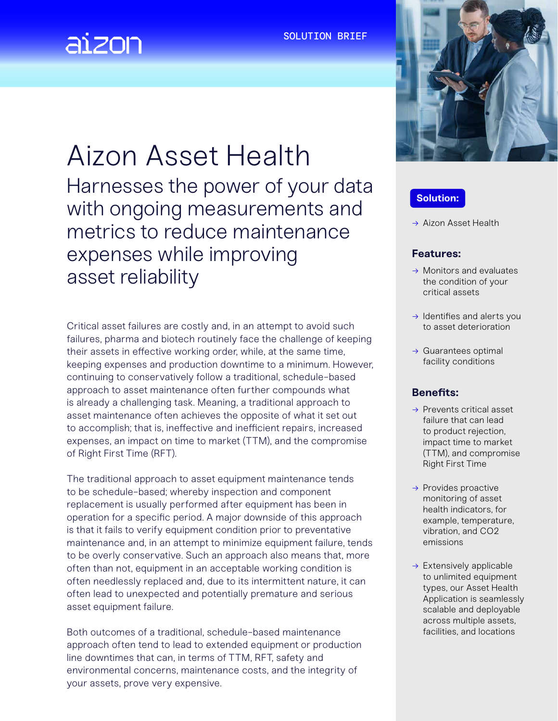#### SOLUTION BRIEF



# Aizon Asset Health

Harnesses the power of your data with ongoing measurements and metrics to reduce maintenance expenses while improving asset reliability

Critical asset failures are costly and, in an attempt to avoid such failures, pharma and biotech routinely face the challenge of keeping their assets in effective working order, while, at the same time, keeping expenses and production downtime to a minimum. However, continuing to conservatively follow a traditional, schedule-based approach to asset maintenance often further compounds what is already a challenging task. Meaning, a traditional approach to asset maintenance often achieves the opposite of what it set out to accomplish; that is, ineffective and inefficient repairs, increased expenses, an impact on time to market (TTM), and the compromise of Right First Time (RFT).

The traditional approach to asset equipment maintenance tends to be schedule-based; whereby inspection and component replacement is usually performed after equipment has been in operation for a specific period. A major downside of this approach is that it fails to verify equipment condition prior to preventative maintenance and, in an attempt to minimize equipment failure, tends to be overly conservative. Such an approach also means that, more often than not, equipment in an acceptable working condition is often needlessly replaced and, due to its intermittent nature, it can often lead to unexpected and potentially premature and serious asset equipment failure.

Both outcomes of a traditional, schedule-based maintenance approach often tend to lead to extended equipment or production line downtimes that can, in terms of TTM, RFT, safety and environmental concerns, maintenance costs, and the integrity of your assets, prove very expensive.



# **Solution:**

→ Aizon Asset Health

#### **Features:**

- $\rightarrow$  Monitors and evaluates the condition of your critical assets
- $\rightarrow$  Identifies and alerts you to asset deterioration
- $\rightarrow$  Guarantees optimal facility conditions

#### **Benefits:**

- → Prevents critical asset failure that can lead to product rejection, impact time to market (TTM), and compromise Right First Time
- $\rightarrow$  Provides proactive monitoring of asset health indicators, for example, temperature, vibration, and CO2 emissions
- $\rightarrow$  Extensively applicable to unlimited equipment types, our Asset Health Application is seamlessly scalable and deployable across multiple assets, facilities, and locations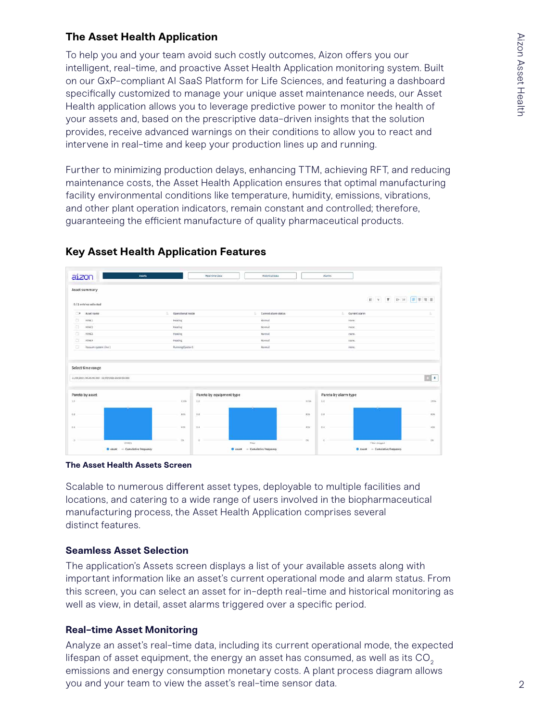# **The Asset Health Application**

To help you and your team avoid such costly outcomes, Aizon offers you our intelligent, real-time, and proactive Asset Health Application monitoring system. Built on our GxP-compliant AI SaaS Platform for Life Sciences, and featuring a dashboard specifically customized to manage your unique asset maintenance needs, our Asset Health application allows you to leverage predictive power to monitor the health of your assets and, based on the prescriptive data-driven insights that the solution provides, receive advanced warnings on their conditions to allow you to react and intervene in real-time and keep your production lines up and running.

Further to minimizing production delays, enhancing TTM, achieving RFT, and reducing maintenance costs, the Asset Health Application ensures that optimal manufacturing facility environmental conditions like temperature, humidity, emissions, vibrations, and other plant operation indicators, remain constant and controlled; therefore, guaranteeing the efficient manufacture of quality pharmaceutical products.



## **Key Asset Health Application Features**

**The Asset Health Assets Screen**

Scalable to numerous different asset types, deployable to multiple facilities and locations, and catering to a wide range of users involved in the biopharmaceutical manufacturing process, the Asset Health Application comprises several distinct features.

### **Seamless Asset Selection**

The application's Assets screen displays a list of your available assets along with important information like an asset's current operational mode and alarm status. From this screen, you can select an asset for in-depth real-time and historical monitoring as well as view, in detail, asset alarms triggered over a specific period.

### **Real-time Asset Monitoring**

Analyze an asset's real-time data, including its current operational mode, the expected lifespan of asset equipment, the energy an asset has consumed, as well as its  $CO<sub>2</sub>$ emissions and energy consumption monetary costs. A plant process diagram allows you and your team to view the asset's real-time sensor data.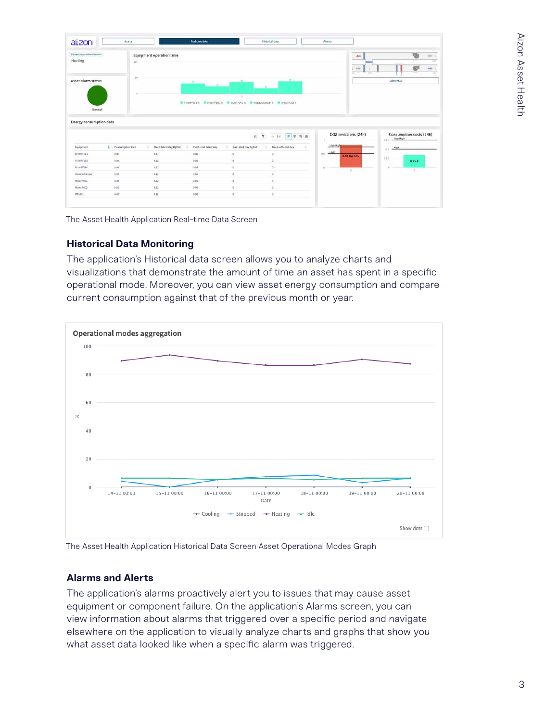| Current operational roads<br>Heating                                                                                                | 100                  | Equipment operation time |                        |                                                                                      |                     |                                   | 30 <sup>o</sup> | 砲<br>O                                      |
|-------------------------------------------------------------------------------------------------------------------------------------|----------------------|--------------------------|------------------------|--------------------------------------------------------------------------------------|---------------------|-----------------------------------|-----------------|---------------------------------------------|
| Asset alarm status<br>Normal                                                                                                        | $50 -$<br>$\circ$    |                          |                        | -ò.<br>C FilterFF002 % C FilterFF500 % C MotorP001 % C HeatExchanger % C MotorP002 % |                     |                                   |                 | Open P&ID                                   |
|                                                                                                                                     |                      |                          |                        |                                                                                      |                     |                                   |                 |                                             |
|                                                                                                                                     |                      |                          |                        | <b>B T</b>                                                                           | 日本日目<br>19.141      | CO2 emissions (24h)               |                 | Consumption costs (24h)<br>HighHigh<br>0.21 |
|                                                                                                                                     | Consumption Kwh<br>Đ | Elect. Intest day KgCo2  | Elect. cost latent day | Gas latest day RgCo2                                                                 | Gas cost latest day | Highlight                         |                 | 6.5                                         |
|                                                                                                                                     | 0.02                 | 0.12                     | 0.05                   | o.                                                                                   | ò.                  | <b>High</b><br>0.8<br>0.84 Kg CO2 |                 |                                             |
|                                                                                                                                     | 0.02                 | 0.12                     | 0.05                   | $\overline{0}$                                                                       | ió.                 |                                   |                 | 0.28<br>0.35E                               |
|                                                                                                                                     | 0.03                 | 0.13                     | 0.05                   | $\overline{D}$                                                                       | is.                 | ×<br>$\mathcal{U}$                |                 | $\pm 1$                                     |
|                                                                                                                                     | 0.02                 | .0.32                    | 0.06                   | ŭ.                                                                                   | $\alpha$            |                                   |                 |                                             |
| <b>Energy consumption data</b><br>Equipment<br>FilterFF001<br>FilterFF002<br>FilterFF500<br>HeatDichanger<br>MotorPD01<br>MotorPOO2 | 0.02<br>0,02         | 0.12<br>0.12             | 0.05<br>0.05           | o.<br>o                                                                              | $\circ$<br>$\circ$  |                                   |                 |                                             |

The Asset Health Application Real-time Data Screen

### **Historical Data Monitoring**

The application's Historical data screen allows you to analyze charts and visualizations that demonstrate the amount of time an asset has spent in a specific operational mode. Moreover, you can view asset energy consumption and compare current consumption against that of the previous month or year.



The Asset Health Application Historical Data Screen Asset Operational Modes Graph

### **Alarms and Alerts**

The application's alarms proactively alert you to issues that may cause asset equipment or component failure. On the application's Alarms screen, you can view information about alarms that triggered over a specific period and navigate elsewhere on the application to visually analyze charts and graphs that show you what asset data looked like when a specific alarm was triggered.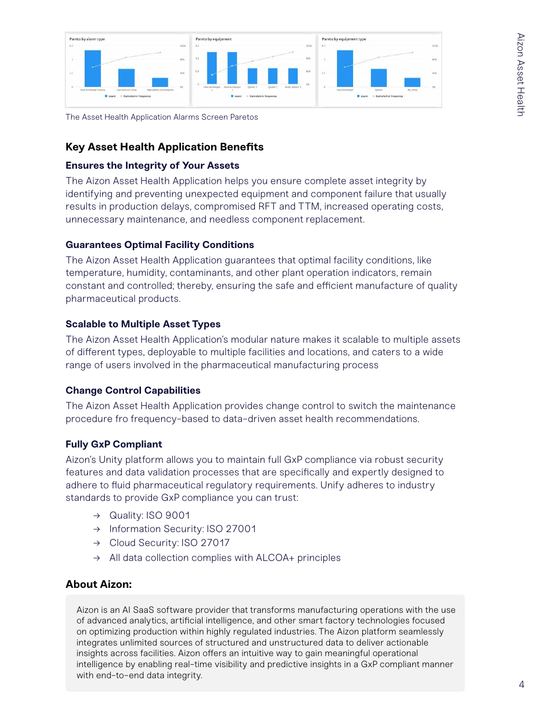

The Asset Health Application Alarms Screen Paretos

## **Key Asset Health Application Benefits**

#### **Ensures the Integrity of Your Assets**

The Aizon Asset Health Application helps you ensure complete asset integrity by identifying and preventing unexpected equipment and component failure that usually results in production delays, compromised RFT and TTM, increased operating costs, unnecessary maintenance, and needless component replacement.

#### **Guarantees Optimal Facility Conditions**

The Aizon Asset Health Application guarantees that optimal facility conditions, like temperature, humidity, contaminants, and other plant operation indicators, remain constant and controlled; thereby, ensuring the safe and efficient manufacture of quality pharmaceutical products.

#### **Scalable to Multiple Asset Types**

The Aizon Asset Health Application's modular nature makes it scalable to multiple assets of different types, deployable to multiple facilities and locations, and caters to a wide range of users involved in the pharmaceutical manufacturing process

### **Change Control Capabilities**

The Aizon Asset Health Application provides change control to switch the maintenance procedure fro frequency-based to data-driven asset health recommendations.

#### **Fully GxP Compliant**

Aizon's Unity platform allows you to maintain full GxP compliance via robust security features and data validation processes that are specifically and expertly designed to adhere to fluid pharmaceutical regulatory requirements. Unify adheres to industry standards to provide GxP compliance you can trust:

- → Quality: ISO 9001
- → Information Security: ISO 27001
- → Cloud Security: ISO 27017
- $\rightarrow$  All data collection complies with ALCOA+ principles

# **About Aizon:**

Aizon is an AI SaaS software provider that transforms manufacturing operations with the use of advanced analytics, artificial intelligence, and other smart factory technologies focused on optimizing production within highly regulated industries. The Aizon platform seamlessly integrates unlimited sources of structured and unstructured data to deliver actionable insights across facilities. Aizon offers an intuitive way to gain meaningful operational intelligence by enabling real-time visibility and predictive insights in a GxP compliant manner with end-to-end data integrity.